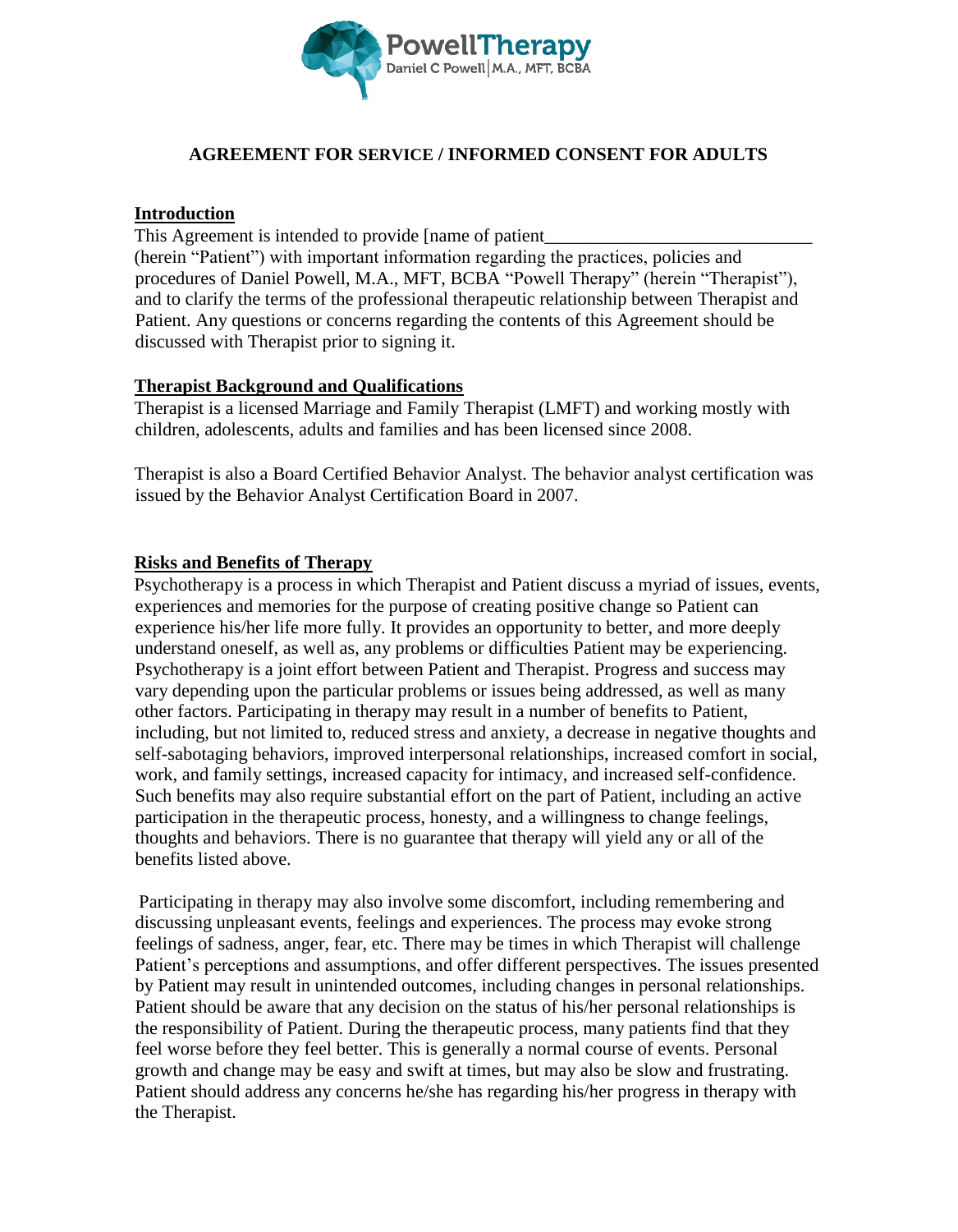

## **AGREEMENT FOR SERVICE / INFORMED CONSENT FOR ADULTS**

## **Introduction**

This Agreement is intended to provide [name of patient

(herein "Patient") with important information regarding the practices, policies and procedures of Daniel Powell, M.A., MFT, BCBA "Powell Therapy" (herein "Therapist"), and to clarify the terms of the professional therapeutic relationship between Therapist and Patient. Any questions or concerns regarding the contents of this Agreement should be discussed with Therapist prior to signing it.

## **Therapist Background and Qualifications**

Therapist is a licensed Marriage and Family Therapist (LMFT) and working mostly with children, adolescents, adults and families and has been licensed since 2008.

Therapist is also a Board Certified Behavior Analyst. The behavior analyst certification was issued by the Behavior Analyst Certification Board in 2007.

## **Risks and Benefits of Therapy**

Psychotherapy is a process in which Therapist and Patient discuss a myriad of issues, events, experiences and memories for the purpose of creating positive change so Patient can experience his/her life more fully. It provides an opportunity to better, and more deeply understand oneself, as well as, any problems or difficulties Patient may be experiencing. Psychotherapy is a joint effort between Patient and Therapist. Progress and success may vary depending upon the particular problems or issues being addressed, as well as many other factors. Participating in therapy may result in a number of benefits to Patient, including, but not limited to, reduced stress and anxiety, a decrease in negative thoughts and self-sabotaging behaviors, improved interpersonal relationships, increased comfort in social, work, and family settings, increased capacity for intimacy, and increased self-confidence. Such benefits may also require substantial effort on the part of Patient, including an active participation in the therapeutic process, honesty, and a willingness to change feelings, thoughts and behaviors. There is no guarantee that therapy will yield any or all of the benefits listed above.

Participating in therapy may also involve some discomfort, including remembering and discussing unpleasant events, feelings and experiences. The process may evoke strong feelings of sadness, anger, fear, etc. There may be times in which Therapist will challenge Patient's perceptions and assumptions, and offer different perspectives. The issues presented by Patient may result in unintended outcomes, including changes in personal relationships. Patient should be aware that any decision on the status of his/her personal relationships is the responsibility of Patient. During the therapeutic process, many patients find that they feel worse before they feel better. This is generally a normal course of events. Personal growth and change may be easy and swift at times, but may also be slow and frustrating. Patient should address any concerns he/she has regarding his/her progress in therapy with the Therapist.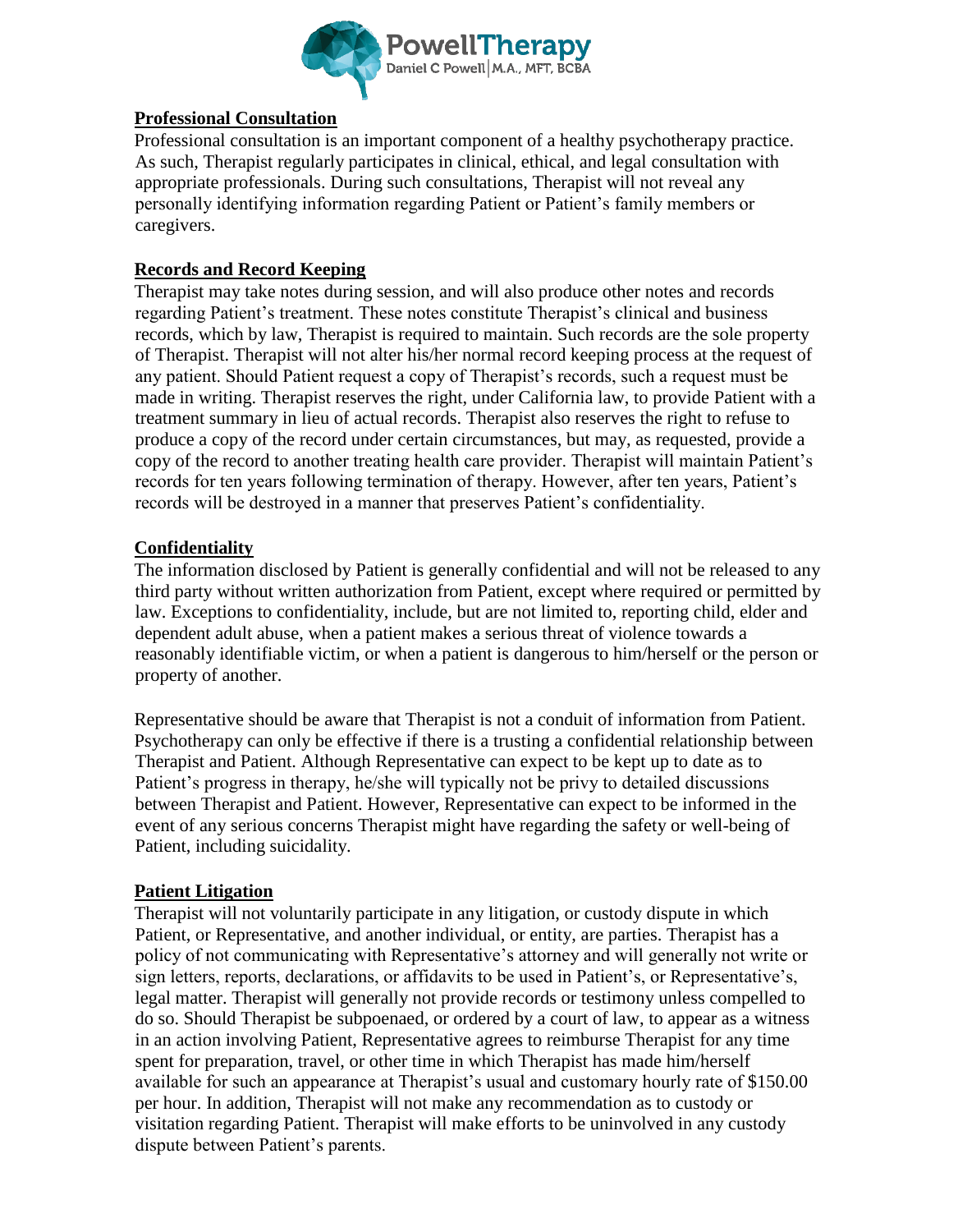

#### l **Professional Consultation**

Professional consultation is an important component of a healthy psychotherapy practice. As such, Therapist regularly participates in clinical, ethical, and legal consultation with appropriate professionals. During such consultations, Therapist will not reveal any personally identifying information regarding Patient or Patient's family members or caregivers.

## **Records and Record Keeping**

Therapist may take notes during session, and will also produce other notes and records regarding Patient's treatment. These notes constitute Therapist's clinical and business records, which by law, Therapist is required to maintain. Such records are the sole property of Therapist. Therapist will not alter his/her normal record keeping process at the request of any patient. Should Patient request a copy of Therapist's records, such a request must be made in writing. Therapist reserves the right, under California law, to provide Patient with a treatment summary in lieu of actual records. Therapist also reserves the right to refuse to produce a copy of the record under certain circumstances, but may, as requested, provide a copy of the record to another treating health care provider. Therapist will maintain Patient's records for ten years following termination of therapy. However, after ten years, Patient's records will be destroyed in a manner that preserves Patient's confidentiality.

## **Confidentiality**

The information disclosed by Patient is generally confidential and will not be released to any third party without written authorization from Patient, except where required or permitted by law. Exceptions to confidentiality, include, but are not limited to, reporting child, elder and dependent adult abuse, when a patient makes a serious threat of violence towards a reasonably identifiable victim, or when a patient is dangerous to him/herself or the person or property of another.

Representative should be aware that Therapist is not a conduit of information from Patient. Psychotherapy can only be effective if there is a trusting a confidential relationship between Therapist and Patient. Although Representative can expect to be kept up to date as to Patient's progress in therapy, he/she will typically not be privy to detailed discussions between Therapist and Patient. However, Representative can expect to be informed in the event of any serious concerns Therapist might have regarding the safety or well-being of Patient, including suicidality.

# **Patient Litigation**

Therapist will not voluntarily participate in any litigation, or custody dispute in which Patient, or Representative, and another individual, or entity, are parties. Therapist has a policy of not communicating with Representative's attorney and will generally not write or sign letters, reports, declarations, or affidavits to be used in Patient's, or Representative's, legal matter. Therapist will generally not provide records or testimony unless compelled to do so. Should Therapist be subpoenaed, or ordered by a court of law, to appear as a witness in an action involving Patient, Representative agrees to reimburse Therapist for any time spent for preparation, travel, or other time in which Therapist has made him/herself available for such an appearance at Therapist's usual and customary hourly rate of \$150.00 per hour. In addition, Therapist will not make any recommendation as to custody or visitation regarding Patient. Therapist will make efforts to be uninvolved in any custody dispute between Patient's parents.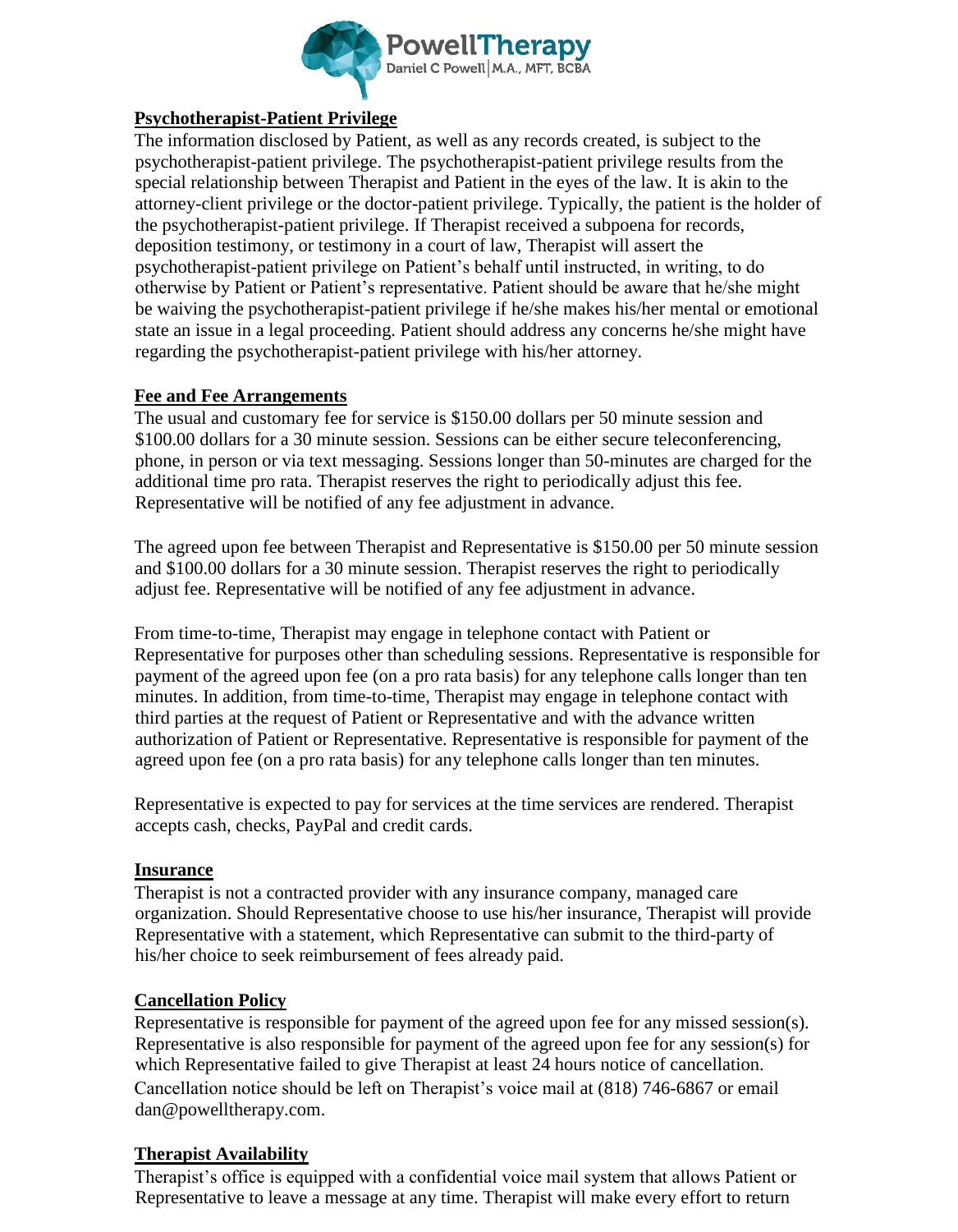

#### l **Psychotherapist-Patient Privilege**

The information disclosed by Patient, as well as any records created, is subject to the psychotherapist-patient privilege. The psychotherapist-patient privilege results from the special relationship between Therapist and Patient in the eyes of the law. It is akin to the attorney-client privilege or the doctor-patient privilege. Typically, the patient is the holder of the psychotherapist-patient privilege. If Therapist received a subpoena for records, deposition testimony, or testimony in a court of law, Therapist will assert the psychotherapist-patient privilege on Patient's behalf until instructed, in writing, to do otherwise by Patient or Patient's representative. Patient should be aware that he/she might be waiving the psychotherapist-patient privilege if he/she makes his/her mental or emotional state an issue in a legal proceeding. Patient should address any concerns he/she might have regarding the psychotherapist-patient privilege with his/her attorney.

## **Fee and Fee Arrangements**

The usual and customary fee for service is \$150.00 dollars per 50 minute session and \$100.00 dollars for a 30 minute session. Sessions can be either secure teleconferencing, phone, in person or via text messaging. Sessions longer than 50-minutes are charged for the additional time pro rata. Therapist reserves the right to periodically adjust this fee. Representative will be notified of any fee adjustment in advance.

The agreed upon fee between Therapist and Representative is \$150.00 per 50 minute session and \$100.00 dollars for a 30 minute session. Therapist reserves the right to periodically adjust fee. Representative will be notified of any fee adjustment in advance.

From time-to-time, Therapist may engage in telephone contact with Patient or Representative for purposes other than scheduling sessions. Representative is responsible for payment of the agreed upon fee (on a pro rata basis) for any telephone calls longer than ten minutes. In addition, from time-to-time, Therapist may engage in telephone contact with third parties at the request of Patient or Representative and with the advance written authorization of Patient or Representative. Representative is responsible for payment of the agreed upon fee (on a pro rata basis) for any telephone calls longer than ten minutes.

Representative is expected to pay for services at the time services are rendered. Therapist accepts cash, checks, PayPal and credit cards.

## **Insurance**

Therapist is not a contracted provider with any insurance company, managed care organization. Should Representative choose to use his/her insurance, Therapist will provide Representative with a statement, which Representative can submit to the third-party of his/her choice to seek reimbursement of fees already paid.

## **Cancellation Policy**

Representative is responsible for payment of the agreed upon fee for any missed session(s). Representative is also responsible for payment of the agreed upon fee for any session(s) for which Representative failed to give Therapist at least 24 hours notice of cancellation. Cancellation notice should be left on Therapist's voice mail at (818) 746-6867 or email dan@powelltherapy.com.

# **Therapist Availability**

Therapist's office is equipped with a confidential voice mail system that allows Patient or Representative to leave a message at any time. Therapist will make every effort to return